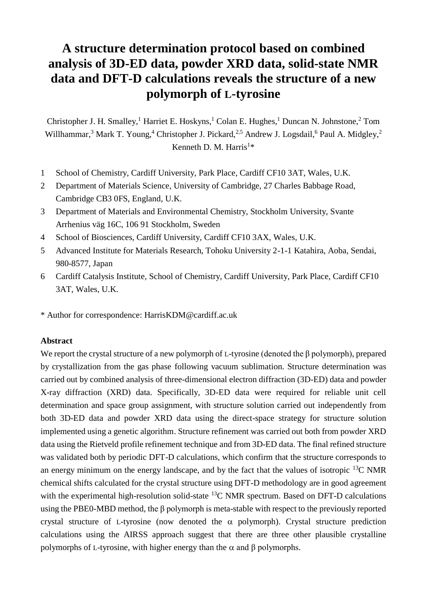# **A structure determination protocol based on combined analysis of 3D-ED data, powder XRD data, solid-state NMR data and DFT-D calculations reveals the structure of a new polymorph of L-tyrosine**

Christopher J. H. Smalley,<sup>1</sup> Harriet E. Hoskyns,<sup>1</sup> Colan E. Hughes,<sup>1</sup> Duncan N. Johnstone,<sup>2</sup> Tom Willhammar,<sup>3</sup> Mark T. Young,<sup>4</sup> Christopher J. Pickard,<sup>2,5</sup> Andrew J. Logsdail,<sup>6</sup> Paul A. Midgley,<sup>2</sup> Kenneth D. M. Harris<sup>1</sup>\*

- 1 School of Chemistry, Cardiff University, Park Place, Cardiff CF10 3AT, Wales, U.K.
- 2 Department of Materials Science, University of Cambridge, 27 Charles Babbage Road, Cambridge CB3 0FS, England, U.K.
- 3 Department of Materials and Environmental Chemistry, Stockholm University, Svante Arrhenius väg 16C, 106 91 Stockholm, Sweden
- 4 School of Biosciences, Cardiff University, Cardiff CF10 3AX, Wales, U.K.
- 5 Advanced Institute for Materials Research, Tohoku University 2-1-1 Katahira, Aoba, Sendai, 980-8577, Japan
- 6 Cardiff Catalysis Institute, School of Chemistry, Cardiff University, Park Place, Cardiff CF10 3AT, Wales, U.K.
- \* Author for correspondence: HarrisKDM@cardiff.ac.uk

#### **Abstract**

We report the crystal structure of a new polymorph of L-tyrosine (denoted the β polymorph), prepared by crystallization from the gas phase following vacuum sublimation. Structure determination was carried out by combined analysis of three-dimensional electron diffraction (3D-ED) data and powder X-ray diffraction (XRD) data. Specifically, 3D-ED data were required for reliable unit cell determination and space group assignment, with structure solution carried out independently from both 3D-ED data and powder XRD data using the direct-space strategy for structure solution implemented using a genetic algorithm. Structure refinement was carried out both from powder XRD data using the Rietveld profile refinement technique and from 3D-ED data. The final refined structure was validated both by periodic DFT-D calculations, which confirm that the structure corresponds to an energy minimum on the energy landscape, and by the fact that the values of isotropic  $^{13}$ C NMR chemical shifts calculated for the crystal structure using DFT-D methodology are in good agreement with the experimental high-resolution solid-state  ${}^{13}$ C NMR spectrum. Based on DFT-D calculations using the PBE0-MBD method, the β polymorph is meta-stable with respect to the previously reported crystal structure of L-tyrosine (now denoted the  $\alpha$  polymorph). Crystal structure prediction calculations using the AIRSS approach suggest that there are three other plausible crystalline polymorphs of L-tyrosine, with higher energy than the  $\alpha$  and  $\beta$  polymorphs.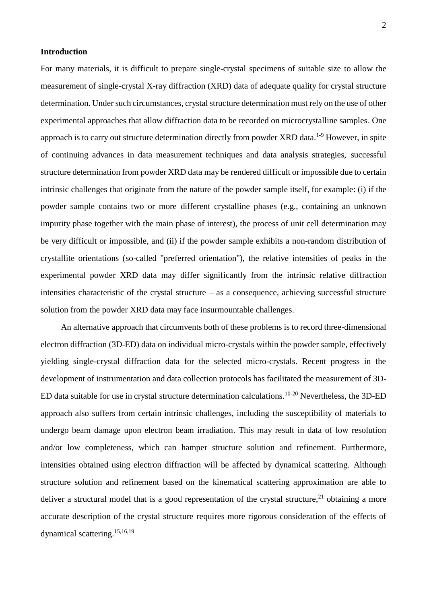## **Introduction**

For many materials, it is difficult to prepare single-crystal specimens of suitable size to allow the measurement of single-crystal X-ray diffraction (XRD) data of adequate quality for crystal structure determination. Under such circumstances, crystal structure determination must rely on the use of other experimental approaches that allow diffraction data to be recorded on microcrystalline samples. One approach is to carry out structure determination directly from powder XRD data.<sup>1-9</sup> However, in spite of continuing advances in data measurement techniques and data analysis strategies, successful structure determination from powder XRD data may be rendered difficult or impossible due to certain intrinsic challenges that originate from the nature of the powder sample itself, for example: (i) if the powder sample contains two or more different crystalline phases (e.g., containing an unknown impurity phase together with the main phase of interest), the process of unit cell determination may be very difficult or impossible, and (ii) if the powder sample exhibits a non-random distribution of crystallite orientations (so-called "preferred orientation"), the relative intensities of peaks in the experimental powder XRD data may differ significantly from the intrinsic relative diffraction intensities characteristic of the crystal structure – as a consequence, achieving successful structure solution from the powder XRD data may face insurmountable challenges.

An alternative approach that circumvents both of these problems is to record three-dimensional electron diffraction (3D-ED) data on individual micro-crystals within the powder sample, effectively yielding single-crystal diffraction data for the selected micro-crystals. Recent progress in the development of instrumentation and data collection protocols has facilitated the measurement of 3D-ED data suitable for use in crystal structure determination calculations.<sup>10-20</sup> Nevertheless, the 3D-ED approach also suffers from certain intrinsic challenges, including the susceptibility of materials to undergo beam damage upon electron beam irradiation. This may result in data of low resolution and/or low completeness, which can hamper structure solution and refinement. Furthermore, intensities obtained using electron diffraction will be affected by dynamical scattering. Although structure solution and refinement based on the kinematical scattering approximation are able to deliver a structural model that is a good representation of the crystal structure,<sup>21</sup> obtaining a more accurate description of the crystal structure requires more rigorous consideration of the effects of dynamical scattering. 15,16,19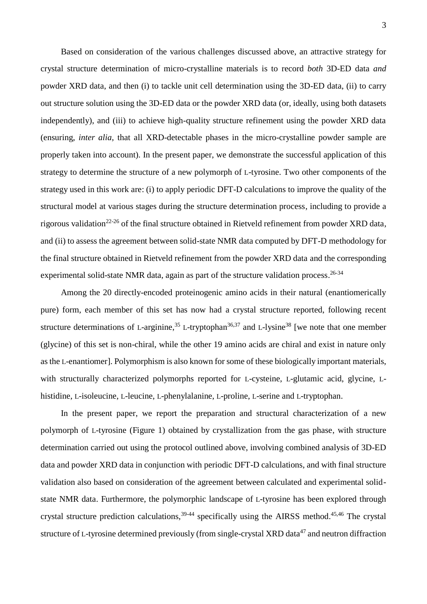3

Based on consideration of the various challenges discussed above, an attractive strategy for crystal structure determination of micro-crystalline materials is to record *both* 3D-ED data *and* powder XRD data, and then (i) to tackle unit cell determination using the 3D-ED data, (ii) to carry out structure solution using the 3D-ED data or the powder XRD data (or, ideally, using both datasets independently), and (iii) to achieve high-quality structure refinement using the powder XRD data (ensuring, *inter alia*, that all XRD-detectable phases in the micro-crystalline powder sample are properly taken into account). In the present paper, we demonstrate the successful application of this strategy to determine the structure of a new polymorph of L-tyrosine. Two other components of the strategy used in this work are: (i) to apply periodic DFT-D calculations to improve the quality of the structural model at various stages during the structure determination process, including to provide a rigorous validation<sup>22-26</sup> of the final structure obtained in Rietveld refinement from powder XRD data, and (ii) to assess the agreement between solid-state NMR data computed by DFT-D methodology for the final structure obtained in Rietveld refinement from the powder XRD data and the corresponding experimental solid-state NMR data, again as part of the structure validation process.<sup>26-34</sup>

Among the 20 directly-encoded proteinogenic amino acids in their natural (enantiomerically pure) form, each member of this set has now had a crystal structure reported, following recent structure determinations of L-arginine,<sup>35</sup> L-tryptophan<sup>36,37</sup> and L-lysine<sup>38</sup> [we note that one member (glycine) of this set is non-chiral, while the other 19 amino acids are chiral and exist in nature only as the L-enantiomer]. Polymorphism is also known for some of these biologically important materials, with structurally characterized polymorphs reported for L-cysteine, L-glutamic acid, glycine, Lhistidine, L-isoleucine, L-leucine, L-phenylalanine, L-proline, L-serine and L-tryptophan.

In the present paper, we report the preparation and structural characterization of a new polymorph of L-tyrosine (Figure 1) obtained by crystallization from the gas phase, with structure determination carried out using the protocol outlined above, involving combined analysis of 3D-ED data and powder XRD data in conjunction with periodic DFT-D calculations, and with final structure validation also based on consideration of the agreement between calculated and experimental solidstate NMR data. Furthermore, the polymorphic landscape of L-tyrosine has been explored through crystal structure prediction calculations,  $39-44$  specifically using the AIRSS method.<sup>45,46</sup> The crystal structure of L-tyrosine determined previously (from single-crystal XRD data<sup>47</sup> and neutron diffraction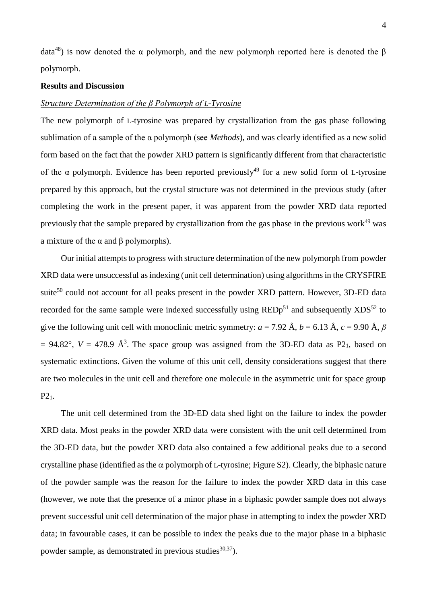data<sup>48</sup>) is now denoted the  $\alpha$  polymorph, and the new polymorph reported here is denoted the  $\beta$ polymorph.

## **Results and Discussion**

#### *Structure Determination of the β Polymorph of L-Tyrosine*

The new polymorph of L-tyrosine was prepared by crystallization from the gas phase following sublimation of a sample of the α polymorph (see *Methods*), and was clearly identified as a new solid form based on the fact that the powder XRD pattern is significantly different from that characteristic of the  $\alpha$  polymorph. Evidence has been reported previously<sup>49</sup> for a new solid form of L-tyrosine prepared by this approach, but the crystal structure was not determined in the previous study (after completing the work in the present paper, it was apparent from the powder XRD data reported previously that the sample prepared by crystallization from the gas phase in the previous work $49$  was a mixture of the  $\alpha$  and  $\beta$  polymorphs).

Our initial attempts to progress with structure determination of the new polymorph from powder XRD data were unsuccessful as indexing (unit cell determination) using algorithms in the CRYSFIRE suite<sup>50</sup> could not account for all peaks present in the powder XRD pattern. However, 3D-ED data recorded for the same sample were indexed successfully using  $REDp<sup>51</sup>$  and subsequently  $XDS<sup>52</sup>$  to give the following unit cell with monoclinic metric symmetry:  $a = 7.92 \text{ Å}$ ,  $b = 6.13 \text{ Å}$ ,  $c = 9.90 \text{ Å}$ ,  $\beta$  $= 94.82^{\circ}$ ,  $V = 478.9$   $\AA$ <sup>3</sup>. The space group was assigned from the 3D-ED data as P2<sub>1</sub>, based on systematic extinctions. Given the volume of this unit cell, density considerations suggest that there are two molecules in the unit cell and therefore one molecule in the asymmetric unit for space group P21.

The unit cell determined from the 3D-ED data shed light on the failure to index the powder XRD data. Most peaks in the powder XRD data were consistent with the unit cell determined from the 3D-ED data, but the powder XRD data also contained a few additional peaks due to a second crystalline phase (identified as the  $\alpha$  polymorph of L-tyrosine; Figure S2). Clearly, the biphasic nature of the powder sample was the reason for the failure to index the powder XRD data in this case (however, we note that the presence of a minor phase in a biphasic powder sample does not always prevent successful unit cell determination of the major phase in attempting to index the powder XRD data; in favourable cases, it can be possible to index the peaks due to the major phase in a biphasic powder sample, as demonstrated in previous studies $^{30,37}$ ).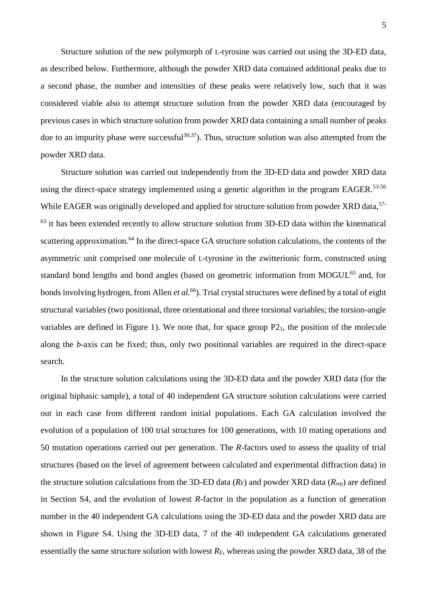Structure solution of the new polymorph of L-tyrosine was carried out using the 3D-ED data, as described below. Furthermore, although the powder XRD data contained additional peaks due to a second phase, the number and intensities of these peaks were relatively low, such that it was considered viable also to attempt structure solution from the powder XRD data (encouraged by previous cases in which structure solution from powder XRD data containing a small number of peaks due to an impurity phase were successful<sup>30,37</sup>). Thus, structure solution was also attempted from the powder XRD data.

Structure solution was carried out independently from the 3D-ED data and powder XRD data using the direct-space strategy implemented using a genetic algorithm in the program EAGER.<sup>53-56</sup> While EAGER was originally developed and applied for structure solution from powder XRD data,<sup>57-</sup>  $63$  it has been extended recently to allow structure solution from 3D-ED data within the kinematical scattering approximation.<sup>64</sup> In the direct-space GA structure solution calculations, the contents of the asymmetric unit comprised one molecule of L-tyrosine in the zwitterionic form, constructed using standard bond lengths and bond angles (based on geometric information from MOGUL<sup>65</sup> and, for bonds involving hydrogen, from Allen *et al.*<sup>66</sup>). Trial crystal structures were defined by a total of eight structural variables (two positional, three orientational and three torsional variables; the torsion-angle variables are defined in Figure 1). We note that, for space group  $P2<sub>1</sub>$ , the position of the molecule along the *b*-axis can be fixed; thus, only two positional variables are required in the direct-space search.

In the structure solution calculations using the 3D-ED data and the powder XRD data (for the original biphasic sample), a total of 40 independent GA structure solution calculations were carried out in each case from different random initial populations. Each GA calculation involved the evolution of a population of 100 trial structures for 100 generations, with 10 mating operations and 50 mutation operations carried out per generation. The *R*-factors used to assess the quality of trial structures (based on the level of agreement between calculated and experimental diffraction data) in the structure solution calculations from the 3D-ED data  $(R_F)$  and powder XRD data  $(R_{wp})$  are defined in Section S4, and the evolution of lowest *R*-factor in the population as a function of generation number in the 40 independent GA calculations using the 3D-ED data and the powder XRD data are shown in Figure S4. Using the 3D-ED data, 7 of the 40 independent GA calculations generated essentially the same structure solution with lowest  $R_F$ , whereas using the powder XRD data, 38 of the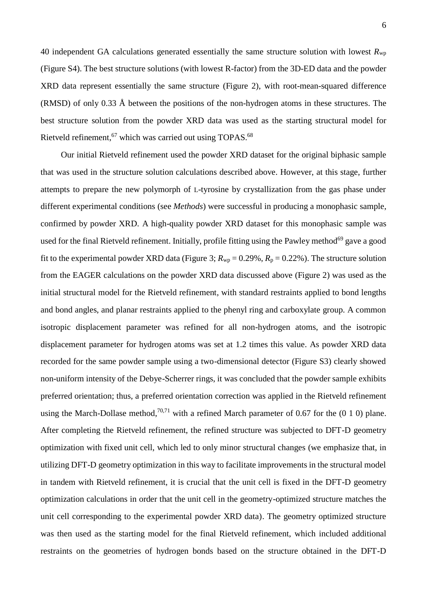40 independent GA calculations generated essentially the same structure solution with lowest  $R_{\text{wp}}$ (Figure S4). The best structure solutions (with lowest R-factor) from the 3D-ED data and the powder XRD data represent essentially the same structure (Figure 2), with root-mean-squared difference (RMSD) of only 0.33 Å between the positions of the non-hydrogen atoms in these structures. The best structure solution from the powder XRD data was used as the starting structural model for Rietveld refinement,<sup>67</sup> which was carried out using TOPAS.<sup>68</sup>

Our initial Rietveld refinement used the powder XRD dataset for the original biphasic sample that was used in the structure solution calculations described above. However, at this stage, further attempts to prepare the new polymorph of L-tyrosine by crystallization from the gas phase under different experimental conditions (see *Methods*) were successful in producing a monophasic sample, confirmed by powder XRD. A high-quality powder XRD dataset for this monophasic sample was used for the final Rietveld refinement. Initially, profile fitting using the Pawley method<sup>69</sup> gave a good fit to the experimental powder XRD data (Figure 3;  $R_{\text{wp}} = 0.29\%$ ,  $R_{\text{p}} = 0.22\%$ ). The structure solution from the EAGER calculations on the powder XRD data discussed above (Figure 2) was used as the initial structural model for the Rietveld refinement, with standard restraints applied to bond lengths and bond angles, and planar restraints applied to the phenyl ring and carboxylate group. A common isotropic displacement parameter was refined for all non-hydrogen atoms, and the isotropic displacement parameter for hydrogen atoms was set at 1.2 times this value. As powder XRD data recorded for the same powder sample using a two-dimensional detector (Figure S3) clearly showed non-uniform intensity of the Debye-Scherrer rings, it was concluded that the powder sample exhibits preferred orientation; thus, a preferred orientation correction was applied in the Rietveld refinement using the March-Dollase method,<sup>70,71</sup> with a refined March parameter of 0.67 for the  $(0 1 0)$  plane. After completing the Rietveld refinement, the refined structure was subjected to DFT-D geometry optimization with fixed unit cell, which led to only minor structural changes (we emphasize that, in utilizing DFT-D geometry optimization in this way to facilitate improvements in the structural model in tandem with Rietveld refinement, it is crucial that the unit cell is fixed in the DFT-D geometry optimization calculations in order that the unit cell in the geometry-optimized structure matches the unit cell corresponding to the experimental powder XRD data). The geometry optimized structure was then used as the starting model for the final Rietveld refinement, which included additional restraints on the geometries of hydrogen bonds based on the structure obtained in the DFT-D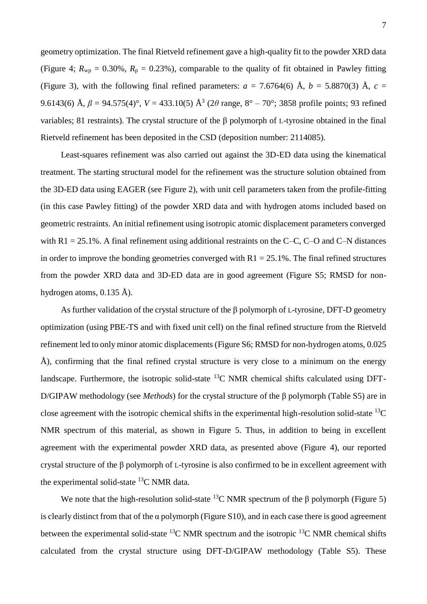geometry optimization. The final Rietveld refinement gave a high-quality fit to the powder XRD data (Figure 4;  $R_{wp} = 0.30\%$ ,  $R_p = 0.23\%$ ), comparable to the quality of fit obtained in Pawley fitting (Figure 3), with the following final refined parameters:  $a = 7.6764(6)$  Å,  $b = 5.8870(3)$  Å,  $c =$ 9.6143(6) Å,  $\beta = 94.575(4)$ °,  $V = 433.10(5)$  Å<sup>3</sup> (2 $\theta$  range,  $8^{\circ} - 70^{\circ}$ ; 3858 profile points; 93 refined variables; 81 restraints). The crystal structure of the β polymorph of L-tyrosine obtained in the final Rietveld refinement has been deposited in the CSD (deposition number: 2114085).

Least-squares refinement was also carried out against the 3D-ED data using the kinematical treatment. The starting structural model for the refinement was the structure solution obtained from the 3D-ED data using EAGER (see Figure 2), with unit cell parameters taken from the profile-fitting (in this case Pawley fitting) of the powder XRD data and with hydrogen atoms included based on geometric restraints. An initial refinement using isotropic atomic displacement parameters converged with  $R1 = 25.1\%$ . A final refinement using additional restraints on the C–C, C–O and C–N distances in order to improve the bonding geometries converged with  $R1 = 25.1\%$ . The final refined structures from the powder XRD data and 3D-ED data are in good agreement (Figure S5; RMSD for nonhydrogen atoms, 0.135 Å).

As further validation of the crystal structure of the β polymorph of L-tyrosine, DFT-D geometry optimization (using PBE-TS and with fixed unit cell) on the final refined structure from the Rietveld refinement led to only minor atomic displacements (Figure S6; RMSD for non-hydrogen atoms, 0.025 Å), confirming that the final refined crystal structure is very close to a minimum on the energy landscape. Furthermore, the isotropic solid-state  $^{13}$ C NMR chemical shifts calculated using DFT-D/GIPAW methodology (see *Methods*) for the crystal structure of the β polymorph (Table S5) are in close agreement with the isotropic chemical shifts in the experimental high-resolution solid-state  $^{13}C$ NMR spectrum of this material, as shown in Figure 5. Thus, in addition to being in excellent agreement with the experimental powder XRD data, as presented above (Figure 4), our reported crystal structure of the β polymorph of L-tyrosine is also confirmed to be in excellent agreement with the experimental solid-state <sup>13</sup>C NMR data.

We note that the high-resolution solid-state <sup>13</sup>C NMR spectrum of the β polymorph (Figure 5) is clearly distinct from that of the  $\alpha$  polymorph (Figure S10), and in each case there is good agreement between the experimental solid-state  $^{13}$ C NMR spectrum and the isotropic  $^{13}$ C NMR chemical shifts calculated from the crystal structure using DFT-D/GIPAW methodology (Table S5). These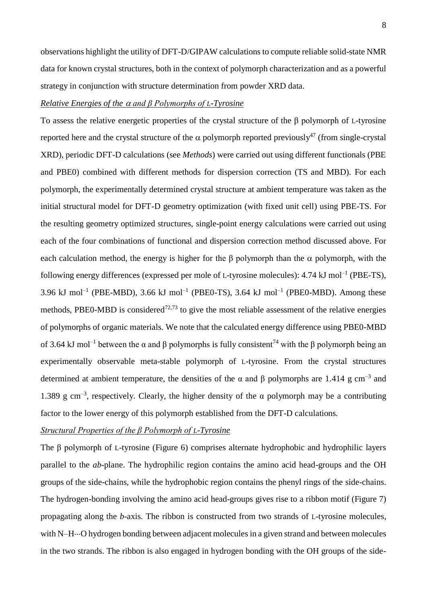observations highlight the utility of DFT-D/GIPAW calculations to compute reliable solid-state NMR data for known crystal structures, both in the context of polymorph characterization and as a powerful strategy in conjunction with structure determination from powder XRD data.

## *Relative Energies of the and β Polymorphs of L-Tyrosine*

To assess the relative energetic properties of the crystal structure of the β polymorph of L-tyrosine reported here and the crystal structure of the  $\alpha$  polymorph reported previously<sup>47</sup> (from single-crystal XRD), periodic DFT-D calculations (see *Methods*) were carried out using different functionals (PBE and PBE0) combined with different methods for dispersion correction (TS and MBD). For each polymorph, the experimentally determined crystal structure at ambient temperature was taken as the initial structural model for DFT-D geometry optimization (with fixed unit cell) using PBE-TS. For the resulting geometry optimized structures, single-point energy calculations were carried out using each of the four combinations of functional and dispersion correction method discussed above. For each calculation method, the energy is higher for the  $\beta$  polymorph than the  $\alpha$  polymorph, with the following energy differences (expressed per mole of L-tyrosine molecules):  $4.74 \text{ kJ}$  mol<sup>-1</sup> (PBE-TS), 3.96 kJ mol<sup>-1</sup> (PBE-MBD), 3.66 kJ mol<sup>-1</sup> (PBE0-TS), 3.64 kJ mol<sup>-1</sup> (PBE0-MBD). Among these methods, PBE0-MBD is considered<sup> $72,73$ </sup> to give the most reliable assessment of the relative energies of polymorphs of organic materials. We note that the calculated energy difference using PBE0-MBD of 3.64 kJ mol<sup>-1</sup> between the α and β polymorphs is fully consistent<sup>74</sup> with the β polymorph being an experimentally observable meta-stable polymorph of L-tyrosine. From the crystal structures determined at ambient temperature, the densities of the  $\alpha$  and  $\beta$  polymorphs are 1.414 g cm<sup>-3</sup> and 1.389 g cm<sup>-3</sup>, respectively. Clearly, the higher density of the  $\alpha$  polymorph may be a contributing factor to the lower energy of this polymorph established from the DFT-D calculations.

## *Structural Properties of the β Polymorph of L-Tyrosine*

The β polymorph of L-tyrosine (Figure 6) comprises alternate hydrophobic and hydrophilic layers parallel to the *ab*-plane. The hydrophilic region contains the amino acid head-groups and the OH groups of the side-chains, while the hydrophobic region contains the phenyl rings of the side-chains. The hydrogen-bonding involving the amino acid head-groups gives rise to a ribbon motif (Figure 7) propagating along the *b*-axis. The ribbon is constructed from two strands of L-tyrosine molecules, with N–H…O hydrogen bonding between adjacent molecules in a given strand and between molecules in the two strands. The ribbon is also engaged in hydrogen bonding with the OH groups of the side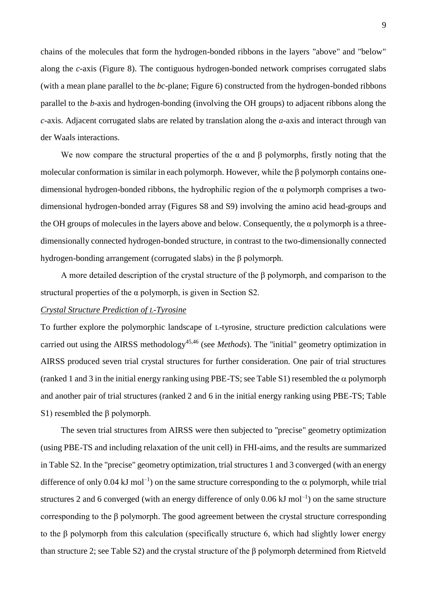chains of the molecules that form the hydrogen-bonded ribbons in the layers "above" and "below" along the *c*-axis (Figure 8). The contiguous hydrogen-bonded network comprises corrugated slabs (with a mean plane parallel to the *bc*-plane; Figure 6) constructed from the hydrogen-bonded ribbons parallel to the *b*-axis and hydrogen-bonding (involving the OH groups) to adjacent ribbons along the *c*-axis. Adjacent corrugated slabs are related by translation along the *a*-axis and interact through van der Waals interactions.

We now compare the structural properties of the  $\alpha$  and  $\beta$  polymorphs, firstly noting that the molecular conformation is similar in each polymorph. However, while the β polymorph contains onedimensional hydrogen-bonded ribbons, the hydrophilic region of the  $\alpha$  polymorph comprises a twodimensional hydrogen-bonded array (Figures S8 and S9) involving the amino acid head-groups and the OH groups of molecules in the layers above and below. Consequently, the  $\alpha$  polymorph is a threedimensionally connected hydrogen-bonded structure, in contrast to the two-dimensionally connected hydrogen-bonding arrangement (corrugated slabs) in the β polymorph.

A more detailed description of the crystal structure of the β polymorph, and comparison to the structural properties of the α polymorph, is given in Section S2.

## *Crystal Structure Prediction of L-Tyrosine*

To further explore the polymorphic landscape of L-tyrosine, structure prediction calculations were carried out using the AIRSS methodology<sup>45,46</sup> (see *Methods*). The "initial" geometry optimization in AIRSS produced seven trial crystal structures for further consideration. One pair of trial structures (ranked 1 and 3 in the initial energy ranking using PBE-TS; see Table S1) resembled the  $\alpha$  polymorph and another pair of trial structures (ranked 2 and 6 in the initial energy ranking using PBE-TS; Table S1) resembled the β polymorph.

The seven trial structures from AIRSS were then subjected to "precise" geometry optimization (using PBE-TS and including relaxation of the unit cell) in FHI-aims, and the results are summarized in Table S2. In the "precise" geometry optimization, trial structures 1 and 3 converged (with an energy difference of only 0.04 kJ mol<sup>-1</sup>) on the same structure corresponding to the  $\alpha$  polymorph, while trial structures 2 and 6 converged (with an energy difference of only  $0.06 \text{ kJ mol}^{-1}$ ) on the same structure corresponding to the β polymorph. The good agreement between the crystal structure corresponding to the β polymorph from this calculation (specifically structure 6, which had slightly lower energy than structure 2; see Table S2) and the crystal structure of the β polymorph determined from Rietveld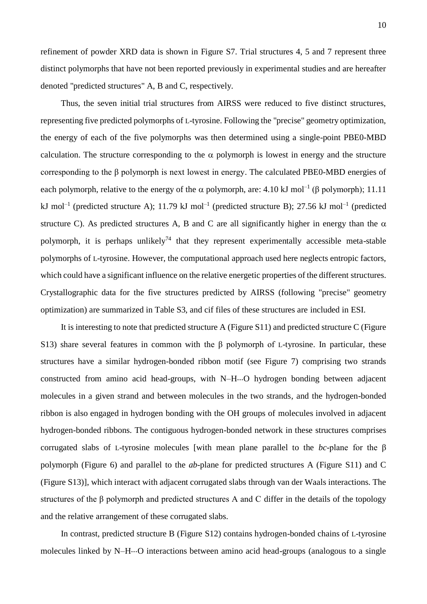10

distinct polymorphs that have not been reported previously in experimental studies and are hereafter denoted "predicted structures" A, B and C, respectively.

Thus, the seven initial trial structures from AIRSS were reduced to five distinct structures, representing five predicted polymorphs of L-tyrosine. Following the "precise" geometry optimization, the energy of each of the five polymorphs was then determined using a single-point PBE0-MBD calculation. The structure corresponding to the  $\alpha$  polymorph is lowest in energy and the structure corresponding to the β polymorph is next lowest in energy. The calculated PBE0-MBD energies of each polymorph, relative to the energy of the  $\alpha$  polymorph, are: 4.10 kJ mol<sup>-1</sup> ( $\beta$  polymorph); 11.11 kJ mol<sup>-1</sup> (predicted structure A); 11.79 kJ mol<sup>-1</sup> (predicted structure B); 27.56 kJ mol<sup>-1</sup> (predicted structure C). As predicted structures A, B and C are all significantly higher in energy than the  $\alpha$ polymorph, it is perhaps unlikely<sup>74</sup> that they represent experimentally accessible meta-stable polymorphs of L-tyrosine. However, the computational approach used here neglects entropic factors, which could have a significant influence on the relative energetic properties of the different structures. Crystallographic data for the five structures predicted by AIRSS (following "precise" geometry optimization) are summarized in Table S3, and cif files of these structures are included in ESI.

It is interesting to note that predicted structure A (Figure S11) and predicted structure C (Figure S13) share several features in common with the β polymorph of L-tyrosine. In particular, these structures have a similar hydrogen-bonded ribbon motif (see Figure 7) comprising two strands constructed from amino acid head-groups, with N–H...O hydrogen bonding between adjacent molecules in a given strand and between molecules in the two strands, and the hydrogen-bonded ribbon is also engaged in hydrogen bonding with the OH groups of molecules involved in adjacent hydrogen-bonded ribbons. The contiguous hydrogen-bonded network in these structures comprises corrugated slabs of L-tyrosine molecules [with mean plane parallel to the *bc*-plane for the β polymorph (Figure 6) and parallel to the *ab*-plane for predicted structures A (Figure S11) and C (Figure S13)], which interact with adjacent corrugated slabs through van der Waals interactions. The structures of the β polymorph and predicted structures A and C differ in the details of the topology and the relative arrangement of these corrugated slabs.

In contrast, predicted structure B (Figure S12) contains hydrogen-bonded chains of L-tyrosine molecules linked by N–H...O interactions between amino acid head-groups (analogous to a single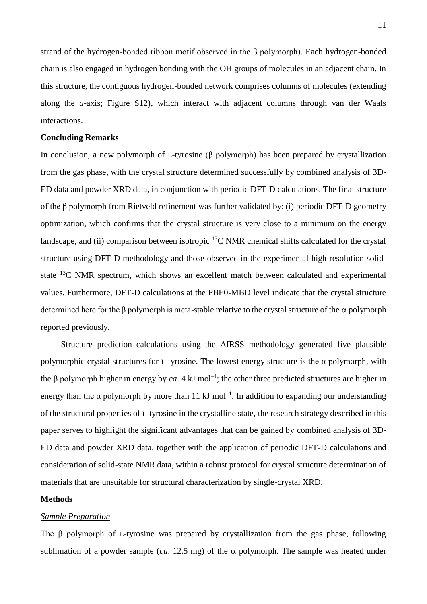strand of the hydrogen-bonded ribbon motif observed in the β polymorph). Each hydrogen-bonded chain is also engaged in hydrogen bonding with the OH groups of molecules in an adjacent chain. In this structure, the contiguous hydrogen-bonded network comprises columns of molecules (extending along the *a*-axis; Figure S12), which interact with adjacent columns through van der Waals interactions.

## **Concluding Remarks**

In conclusion, a new polymorph of L-tyrosine (β polymorph) has been prepared by crystallization from the gas phase, with the crystal structure determined successfully by combined analysis of 3D-ED data and powder XRD data, in conjunction with periodic DFT-D calculations. The final structure of the β polymorph from Rietveld refinement was further validated by: (i) periodic DFT-D geometry optimization, which confirms that the crystal structure is very close to a minimum on the energy landscape, and (ii) comparison between isotropic  ${}^{13}$ C NMR chemical shifts calculated for the crystal structure using DFT-D methodology and those observed in the experimental high-resolution solidstate <sup>13</sup>C NMR spectrum, which shows an excellent match between calculated and experimental values. Furthermore, DFT-D calculations at the PBE0-MBD level indicate that the crystal structure determined here for the  $\beta$  polymorph is meta-stable relative to the crystal structure of the  $\alpha$  polymorph reported previously.

Structure prediction calculations using the AIRSS methodology generated five plausible polymorphic crystal structures for L-tyrosine. The lowest energy structure is the  $\alpha$  polymorph, with the β polymorph higher in energy by *ca*. 4 kJ mol<sup>-1</sup>; the other three predicted structures are higher in energy than the  $\alpha$  polymorph by more than 11 kJ mol<sup>-1</sup>. In addition to expanding our understanding of the structural properties of L-tyrosine in the crystalline state, the research strategy described in this paper serves to highlight the significant advantages that can be gained by combined analysis of 3D-ED data and powder XRD data, together with the application of periodic DFT-D calculations and consideration of solid-state NMR data, within a robust protocol for crystal structure determination of materials that are unsuitable for structural characterization by single-crystal XRD.

#### **Methods**

#### *Sample Preparation*

The β polymorph of L-tyrosine was prepared by crystallization from the gas phase, following sublimation of a powder sample (*ca*. 12.5 mg) of the  $\alpha$  polymorph. The sample was heated under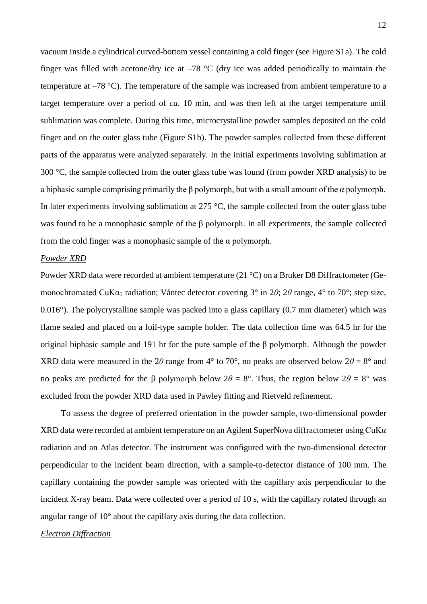vacuum inside a cylindrical curved-bottom vessel containing a cold finger (see Figure S1a). The cold finger was filled with acetone/dry ice at  $-78$  °C (dry ice was added periodically to maintain the temperature at –78 °C). The temperature of the sample was increased from ambient temperature to a target temperature over a period of *ca*. 10 min, and was then left at the target temperature until sublimation was complete. During this time, microcrystalline powder samples deposited on the cold finger and on the outer glass tube (Figure S1b). The powder samples collected from these different parts of the apparatus were analyzed separately. In the initial experiments involving sublimation at 300 °C, the sample collected from the outer glass tube was found (from powder XRD analysis) to be a biphasic sample comprising primarily the  $\beta$  polymorph, but with a small amount of the  $\alpha$  polymorph. In later experiments involving sublimation at 275 °C, the sample collected from the outer glass tube was found to be a monophasic sample of the β polymorph. In all experiments, the sample collected from the cold finger was a monophasic sample of the  $\alpha$  polymorph.

#### *Powder XRD*

Powder XRD data were recorded at ambient temperature (21 °C) on a Bruker D8 Diffractometer (Gemonochromated CuKα<sub>1</sub> radiation; Våntec detector covering 3<sup>°</sup> in 2θ; 2θ range, 4<sup>°</sup> to 70<sup>°</sup>; step size, 0.016°). The polycrystalline sample was packed into a glass capillary (0.7 mm diameter) which was flame sealed and placed on a foil-type sample holder. The data collection time was 64.5 hr for the original biphasic sample and 191 hr for the pure sample of the β polymorph. Although the powder XRD data were measured in the 2*θ* range from 4<sup>°</sup> to 70<sup>°</sup>, no peaks are observed below  $2\theta = 8$ <sup>°</sup> and no peaks are predicted for the β polymorph below  $2\theta = 8^\circ$ . Thus, the region below  $2\theta = 8^\circ$  was excluded from the powder XRD data used in Pawley fitting and Rietveld refinement.

To assess the degree of preferred orientation in the powder sample, two-dimensional powder XRD data were recorded at ambient temperature on an Agilent SuperNova diffractometer using CuKα radiation and an Atlas detector. The instrument was configured with the two-dimensional detector perpendicular to the incident beam direction, with a sample-to-detector distance of 100 mm. The capillary containing the powder sample was oriented with the capillary axis perpendicular to the incident X-ray beam. Data were collected over a period of 10 s, with the capillary rotated through an angular range of 10° about the capillary axis during the data collection.

#### *Electron Diffraction*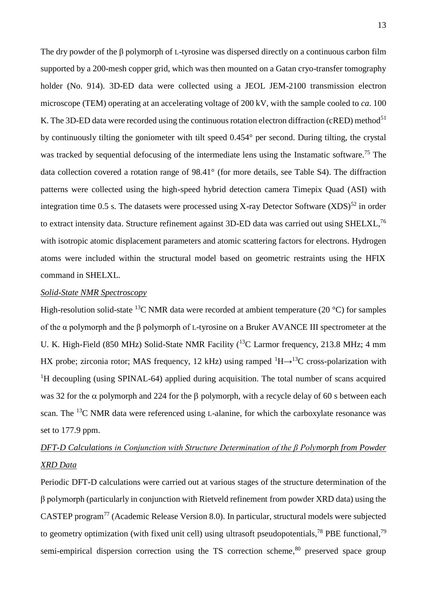The dry powder of the β polymorph of L-tyrosine was dispersed directly on a continuous carbon film supported by a 200-mesh copper grid, which was then mounted on a Gatan cryo-transfer tomography holder (No. 914). 3D-ED data were collected using a JEOL JEM-2100 transmission electron microscope (TEM) operating at an accelerating voltage of 200 kV, with the sample cooled to *ca*. 100 K. The 3D-ED data were recorded using the continuous rotation electron diffraction (cRED) method<sup>51</sup> by continuously tilting the goniometer with tilt speed 0.454° per second. During tilting, the crystal was tracked by sequential defocusing of the intermediate lens using the Instamatic software.<sup>75</sup> The data collection covered a rotation range of 98.41° (for more details, see Table S4). The diffraction patterns were collected using the high-speed hybrid detection camera Timepix Quad (ASI) with integration time 0.5 s. The datasets were processed using X-ray Detector Software  $(XDS)^{52}$  in order to extract intensity data. Structure refinement against 3D-ED data was carried out using SHELXL,<sup>76</sup> with isotropic atomic displacement parameters and atomic scattering factors for electrons. Hydrogen atoms were included within the structural model based on geometric restraints using the HFIX command in SHELXL.

#### *Solid-State NMR Spectroscopy*

High-resolution solid-state <sup>13</sup>C NMR data were recorded at ambient temperature (20  $^{\circ}$ C) for samples of the α polymorph and the β polymorph of L-tyrosine on a Bruker AVANCE III spectrometer at the U. K. High-Field (850 MHz) Solid-State NMR Facility (<sup>13</sup>C Larmor frequency, 213.8 MHz; 4 mm HX probe; zirconia rotor; MAS frequency, 12 kHz) using ramped  ${}^{1}H\rightarrow {}^{13}C$  cross-polarization with <sup>1</sup>H decoupling (using SPINAL-64) applied during acquisition. The total number of scans acquired was 32 for the  $\alpha$  polymorph and 224 for the  $\beta$  polymorph, with a recycle delay of 60 s between each scan. The <sup>13</sup>C NMR data were referenced using L-alanine, for which the carboxylate resonance was set to 177.9 ppm.

## *DFT-D Calculations in Conjunction with Structure Determination of the β Polymorph from Powder XRD Data*

Periodic DFT-D calculations were carried out at various stages of the structure determination of the β polymorph (particularly in conjunction with Rietveld refinement from powder XRD data) using the CASTEP program<sup>77</sup> (Academic Release Version 8.0). In particular, structural models were subjected to geometry optimization (with fixed unit cell) using ultrasoft pseudopotentials,<sup>78</sup> PBE functional,<sup>79</sup> semi-empirical dispersion correction using the TS correction scheme,<sup>80</sup> preserved space group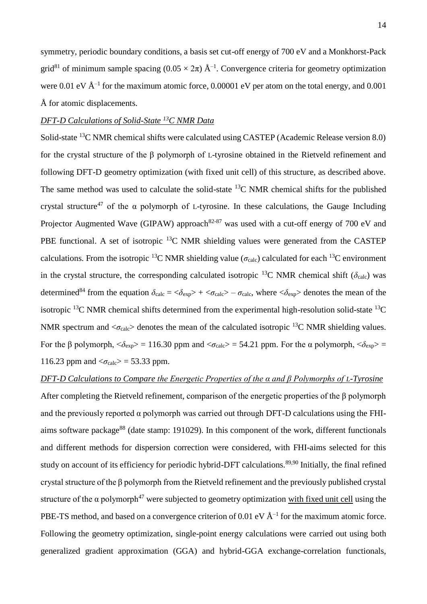symmetry, periodic boundary conditions, a basis set cut-off energy of 700 eV and a Monkhorst-Pack grid<sup>81</sup> of minimum sample spacing  $(0.05 \times 2\pi)$   $\rm \AA^{-1}$ . Convergence criteria for geometry optimization were 0.01 eV  $\rm \AA^{-1}$  for the maximum atomic force, 0.00001 eV per atom on the total energy, and 0.001 Å for atomic displacements.

## *DFT-D Calculations of Solid-State <sup>13</sup>C NMR Data*

Solid-state <sup>13</sup>C NMR chemical shifts were calculated using CASTEP (Academic Release version 8.0) for the crystal structure of the β polymorph of L-tyrosine obtained in the Rietveld refinement and following DFT-D geometry optimization (with fixed unit cell) of this structure, as described above. The same method was used to calculate the solid-state  ${}^{13}$ C NMR chemical shifts for the published crystal structure<sup>47</sup> of the  $\alpha$  polymorph of L-tyrosine. In these calculations, the Gauge Including Projector Augmented Wave (GIPAW) approach<sup>82-87</sup> was used with a cut-off energy of 700 eV and PBE functional. A set of isotropic  $^{13}$ C NMR shielding values were generated from the CASTEP calculations. From the isotropic <sup>13</sup>C NMR shielding value ( $\sigma_{\text{calc}}$ ) calculated for each <sup>13</sup>C environment in the crystal structure, the corresponding calculated isotropic <sup>13</sup>C NMR chemical shift ( $\delta_{\text{calc}}$ ) was determined<sup>84</sup> from the equation  $\delta_{\text{calc}} = \langle \delta_{\text{exp}} \rangle + \langle \sigma_{\text{calc}} \rangle - \sigma_{\text{calc}}$ , where  $\langle \delta_{\text{exp}} \rangle$  denotes the mean of the isotropic  $^{13}$ C NMR chemical shifts determined from the experimental high-resolution solid-state  $^{13}$ C NMR spectrum and  $\langle \sigma_{\text{calc}} \rangle$  denotes the mean of the calculated isotropic <sup>13</sup>C NMR shielding values. For the β polymorph,  $\langle \delta_{exp} \rangle = 116.30$  ppm and  $\langle \sigma_{calc} \rangle = 54.21$  ppm. For the α polymorph,  $\langle \delta_{exp} \rangle =$ 116.23 ppm and  $\langle \sigma_{\text{calc}} \rangle$  = 53.33 ppm.

## *DFT-D Calculations to Compare the Energetic Properties of the α and β Polymorphs of L-Tyrosine*

After completing the Rietveld refinement, comparison of the energetic properties of the β polymorph and the previously reported  $\alpha$  polymorph was carried out through DFT-D calculations using the FHIaims software package<sup>88</sup> (date stamp: 191029). In this component of the work, different functionals and different methods for dispersion correction were considered, with FHI-aims selected for this study on account of its efficiency for periodic hybrid-DFT calculations.<sup>89,90</sup> Initially, the final refined crystal structure of the β polymorph from the Rietveld refinement and the previously published crystal structure of the  $\alpha$  polymorph<sup>47</sup> were subjected to geometry optimization with fixed unit cell using the PBE-TS method, and based on a convergence criterion of 0.01 eV  $\AA^{-1}$  for the maximum atomic force. Following the geometry optimization, single-point energy calculations were carried out using both generalized gradient approximation (GGA) and hybrid-GGA exchange-correlation functionals,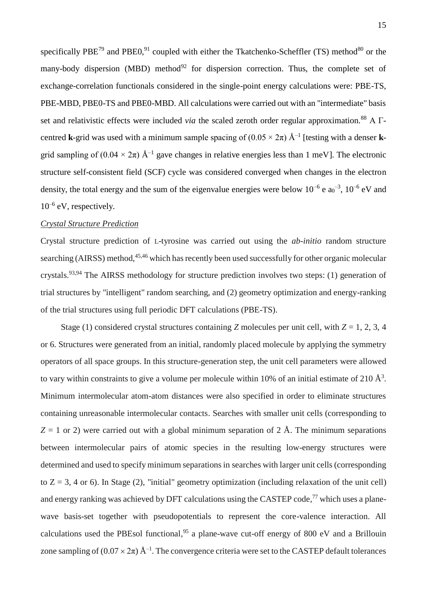specifically PBE<sup>79</sup> and PBE0,<sup>91</sup> coupled with either the Tkatchenko-Scheffler (TS) method<sup>80</sup> or the many-body dispersion (MBD) method<sup>92</sup> for dispersion correction. Thus, the complete set of exchange-correlation functionals considered in the single-point energy calculations were: PBE-TS, PBE-MBD, PBE0-TS and PBE0-MBD. All calculations were carried out with an "intermediate" basis set and relativistic effects were included *via* the scaled zeroth order regular approximation.<sup>88</sup> A Γcentred **k**-grid was used with a minimum sample spacing of  $(0.05 \times 2\pi)$  Å<sup>-1</sup> [testing with a denser **k**grid sampling of  $(0.04 \times 2\pi)$  Å<sup>-1</sup> gave changes in relative energies less than 1 meV]. The electronic structure self-consistent field (SCF) cycle was considered converged when changes in the electron density, the total energy and the sum of the eigenvalue energies were below  $10^{-6}$  e  $a_0^{-3}$ ,  $10^{-6}$  eV and 10–6 eV, respectively.

## *Crystal Structure Prediction*

Crystal structure prediction of L-tyrosine was carried out using the *ab-initio* random structure searching (AIRSS) method,<sup>45,46</sup> which has recently been used successfully for other organic molecular crystals.<sup>93,94</sup> The AIRSS methodology for structure prediction involves two steps: (1) generation of trial structures by "intelligent" random searching, and (2) geometry optimization and energy-ranking of the trial structures using full periodic DFT calculations (PBE-TS).

Stage (1) considered crystal structures containing *Z* molecules per unit cell, with  $Z = 1, 2, 3, 4$ or 6. Structures were generated from an initial, randomly placed molecule by applying the symmetry operators of all space groups. In this structure-generation step, the unit cell parameters were allowed to vary within constraints to give a volume per molecule within 10% of an initial estimate of 210  $\AA^3$ . Minimum intermolecular atom-atom distances were also specified in order to eliminate structures containing unreasonable intermolecular contacts. Searches with smaller unit cells (corresponding to  $Z = 1$  or 2) were carried out with a global minimum separation of 2 Å. The minimum separations between intermolecular pairs of atomic species in the resulting low-energy structures were determined and used to specify minimum separations in searches with larger unit cells (corresponding to  $Z = 3$ , 4 or 6). In Stage (2), "initial" geometry optimization (including relaxation of the unit cell) and energy ranking was achieved by DFT calculations using the CASTEP code,<sup>77</sup> which uses a planewave basis-set together with pseudopotentials to represent the core-valence interaction. All calculations used the PBEsol functional,<sup>95</sup> a plane-wave cut-off energy of 800 eV and a Brillouin zone sampling of  $(0.07 \times 2\pi)$   $\rm \AA^{-1}$ . The convergence criteria were set to the CASTEP default tolerances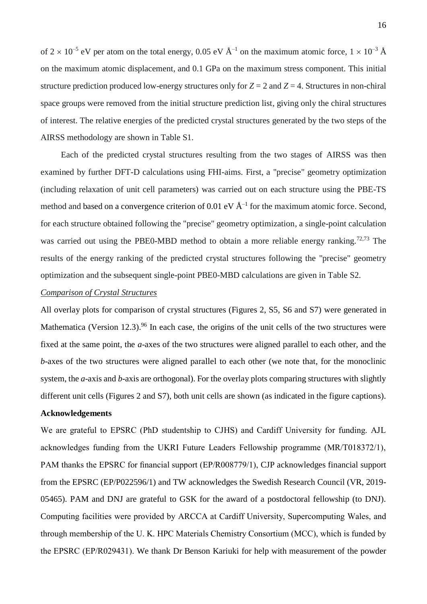of  $2 \times 10^{-5}$  eV per atom on the total energy, 0.05 eV  $\rm \AA^{-1}$  on the maximum atomic force,  $1 \times 10^{-3}$   $\rm \AA$ on the maximum atomic displacement, and 0.1 GPa on the maximum stress component. This initial structure prediction produced low-energy structures only for  $Z = 2$  and  $Z = 4$ . Structures in non-chiral space groups were removed from the initial structure prediction list, giving only the chiral structures of interest. The relative energies of the predicted crystal structures generated by the two steps of the AIRSS methodology are shown in Table S1.

Each of the predicted crystal structures resulting from the two stages of AIRSS was then examined by further DFT-D calculations using FHI-aims. First, a "precise" geometry optimization (including relaxation of unit cell parameters) was carried out on each structure using the PBE-TS method and based on a convergence criterion of 0.01 eV  $\AA$ <sup>-1</sup> for the maximum atomic force. Second, for each structure obtained following the "precise" geometry optimization, a single-point calculation was carried out using the PBE0-MBD method to obtain a more reliable energy ranking.<sup>72,73</sup> The results of the energy ranking of the predicted crystal structures following the "precise" geometry optimization and the subsequent single-point PBE0-MBD calculations are given in Table S2.

#### *Comparison of Crystal Structures*

All overlay plots for comparison of crystal structures (Figures 2, S5, S6 and S7) were generated in Mathematica (Version 12.3).<sup>96</sup> In each case, the origins of the unit cells of the two structures were fixed at the same point, the *a*-axes of the two structures were aligned parallel to each other, and the *b*-axes of the two structures were aligned parallel to each other (we note that, for the monoclinic system, the *a*-axis and *b*-axis are orthogonal). For the overlay plots comparing structures with slightly different unit cells (Figures 2 and S7), both unit cells are shown (as indicated in the figure captions).

## **Acknowledgements**

We are grateful to EPSRC (PhD studentship to CJHS) and Cardiff University for funding. AJL acknowledges funding from the UKRI Future Leaders Fellowship programme (MR/T018372/1), PAM thanks the EPSRC for financial support (EP/R008779/1), CJP acknowledges financial support from the EPSRC (EP/P022596/1) and TW acknowledges the Swedish Research Council (VR, 2019- 05465). PAM and DNJ are grateful to GSK for the award of a postdoctoral fellowship (to DNJ). Computing facilities were provided by ARCCA at Cardiff University, Supercomputing Wales, and through membership of the U. K. HPC Materials Chemistry Consortium (MCC), which is funded by the EPSRC (EP/R029431). We thank Dr Benson Kariuki for help with measurement of the powder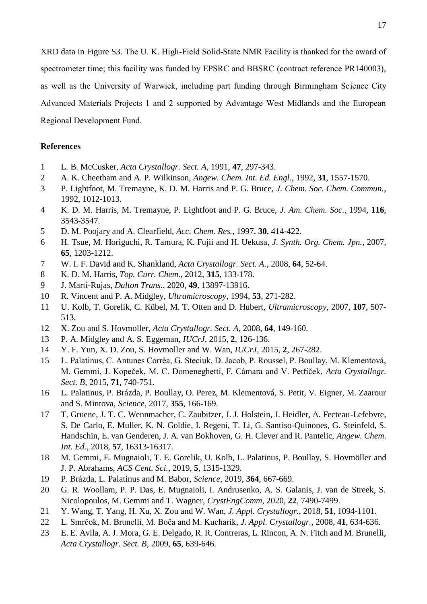XRD data in Figure S3. The U. K. High-Field Solid-State NMR Facility is thanked for the award of spectrometer time; this facility was funded by EPSRC and BBSRC (contract reference PR140003), as well as the University of Warwick, including part funding through Birmingham Science City Advanced Materials Projects 1 and 2 supported by Advantage West Midlands and the European Regional Development Fund.

## **References**

- 1 L. B. McCusker, *Acta Crystallogr. Sect. A*, 1991, **47**, 297-343.
- 2 A. K. Cheetham and A. P. Wilkinson, *Angew. Chem. Int. Ed. Engl.*, 1992, **31**, 1557-1570.
- 3 P. Lightfoot, M. Tremayne, K. D. M. Harris and P. G. Bruce, *J. Chem. Soc. Chem. Commun.*, 1992, 1012-1013.
- 4 K. D. M. Harris, M. Tremayne, P. Lightfoot and P. G. Bruce, *J. Am. Chem. Soc.*, 1994, **116**, 3543-3547.
- 5 D. M. Poojary and A. Clearfield, *Acc. Chem. Res.*, 1997, **30**, 414-422.
- 6 H. Tsue, M. Horiguchi, R. Tamura, K. Fujii and H. Uekusa, *J. Synth. Org. Chem. Jpn.*, 2007, **65**, 1203-1212.
- 7 W. I. F. David and K. Shankland, *Acta Crystallogr. Sect. A.*, 2008, **64**, 52-64.
- 8 K. D. M. Harris, *Top. Curr. Chem.*, 2012, **315**, 133-178.
- 9 J. Martí-Rujas, *Dalton Trans.*, 2020, **49**, 13897-13916.
- 10 R. Vincent and P. A. Midgley, *Ultramicroscopy*, 1994, **53**, 271-282.
- 11 U. Kolb, T. Gorelik, C. Kübel, M. T. Otten and D. Hubert, *Ultramicroscopy*, 2007, **107**, 507- 513.
- 12 X. Zou and S. Hovmoller, *Acta Crystallogr. Sect. A*, 2008, **64**, 149-160.
- 13 P. A. Midgley and A. S. Eggeman, *IUCrJ*, 2015, **2**, 126-136.
- 14 Y. F. Yun, X. D. Zou, S. Hovmoller and W. Wan, *IUCrJ*, 2015, **2**, 267-282.
- 15 L. Palatinus, C. Antunes Corrêa, G. Steciuk, D. Jacob, P. Roussel, P. Boullay, M. Klementová, M. Gemmi, J. Kopeček, M. C. Domeneghetti, F. Cámara and V. Petříček, *Acta Crystallogr. Sect. B*, 2015, **71**, 740-751.
- 16 L. Palatinus, P. Brázda, P. Boullay, O. Perez, M. Klementová, S. Petit, V. Eigner, M. Zaarour and S. Mintova, *Science*, 2017, **355**, 166-169.
- 17 T. Gruene, J. T. C. Wennmacher, C. Zaubitzer, J. J. Holstein, J. Heidler, A. Fecteau-Lefebvre, S. De Carlo, E. Muller, K. N. Goldie, I. Regeni, T. Li, G. Santiso-Quinones, G. Steinfeld, S. Handschin, E. van Genderen, J. A. van Bokhoven, G. H. Clever and R. Pantelic, *Angew. Chem. Int. Ed.*, 2018, **57**, 16313-16317.
- 18 M. Gemmi, E. Mugnaioli, T. E. Gorelik, U. Kolb, L. Palatinus, P. Boullay, S. Hovmöller and J. P. Abrahams, *ACS Cent. Sci.*, 2019, **5**, 1315-1329.
- 19 P. Brázda, L. Palatinus and M. Babor, *Science*, 2019, **364**, 667-669.
- 20 G. R. Woollam, P. P. Das, E. Mugnaioli, I. Andrusenko, A. S. Galanis, J. van de Streek, S. Nicolopoulos, M. Gemmi and T. Wagner, *CrystEngComm*, 2020, **22**, 7490-7499.
- 21 Y. Wang, T. Yang, H. Xu, X. Zou and W. Wan, *J. Appl. Crystallogr.*, 2018, **51**, 1094-1101.
- 22 L. Smrčok, M. Brunelli, M. Boča and M. Kucharík, *J. Appl. Crystallogr.*, 2008, **41**, 634-636.
- 23 E. E. Avila, A. J. Mora, G. E. Delgado, R. R. Contreras, L. Rincon, A. N. Fitch and M. Brunelli, *Acta Crystallogr. Sect. B*, 2009, **65**, 639-646.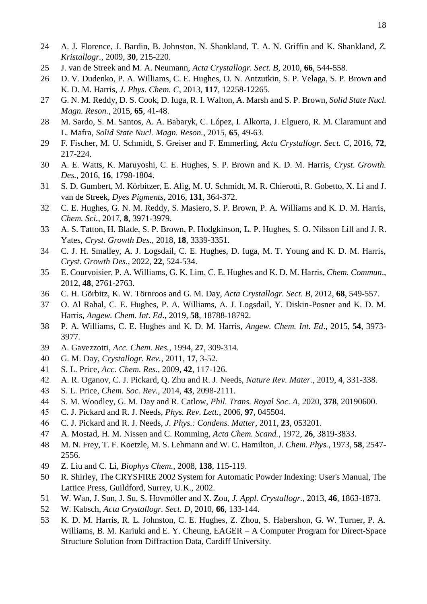- A. J. Florence, J. Bardin, B. Johnston, N. Shankland, T. A. N. Griffin and K. Shankland, *Z. Kristallogr.*, 2009, **30**, 215-220.
- J. van de Streek and M. A. Neumann, *Acta Crystallogr. Sect. B*, 2010, **66**, 544-558.
- D. V. Dudenko, P. A. Williams, C. E. Hughes, O. N. Antzutkin, S. P. Velaga, S. P. Brown and K. D. M. Harris, *J. Phys. Chem. C*, 2013, **117**, 12258-12265.
- G. N. M. Reddy, D. S. Cook, D. Iuga, R. I. Walton, A. Marsh and S. P. Brown, *Solid State Nucl. Magn. Reson.*, 2015, **65**, 41-48.
- M. Sardo, S. M. Santos, A. A. Babaryk, C. López, I. Alkorta, J. Elguero, R. M. Claramunt and L. Mafra, *Solid State Nucl. Magn. Reson.*, 2015, **65**, 49-63.
- F. Fischer, M. U. Schmidt, S. Greiser and F. Emmerling, *Acta Crystallogr. Sect. C*, 2016, **72**, 217-224.
- A. E. Watts, K. Maruyoshi, C. E. Hughes, S. P. Brown and K. D. M. Harris, *Cryst. Growth. Des.*, 2016, **16**, 1798-1804.
- S. D. Gumbert, M. Körbitzer, E. Alig, M. U. Schmidt, M. R. Chierotti, R. Gobetto, X. Li and J. van de Streek, *Dyes Pigments*, 2016, **131**, 364-372.
- C. E. Hughes, G. N. M. Reddy, S. Masiero, S. P. Brown, P. A. Williams and K. D. M. Harris, *Chem. Sci.*, 2017, **8**, 3971-3979.
- A. S. Tatton, H. Blade, S. P. Brown, P. Hodgkinson, L. P. Hughes, S. O. Nilsson Lill and J. R. Yates, *Cryst. Growth Des.*, 2018, **18**, 3339-3351.
- C. J. H. Smalley, A. J. Logsdail, C. E. Hughes, D. Iuga, M. T. Young and K. D. M. Harris, *Cryst. Growth Des.*, 2022, **22**, 524-534.
- E. Courvoisier, P. A. Williams, G. K. Lim, C. E. Hughes and K. D. M. Harris, *Chem. Commun*., 2012, **48**, 2761-2763.
- C. H. Görbitz, K. W. Törnroos and G. M. Day, *Acta Crystallogr. Sect. B*, 2012, **68**, 549-557.
- O. Al Rahal, C. E. Hughes, P. A. Williams, A. J. Logsdail, Y. Diskin-Posner and K. D. M. Harris, *Angew. Chem. Int. Ed*., 2019, **58**, 18788-18792.
- P. A. Williams, C. E. Hughes and K. D. M. Harris, *Angew. Chem. Int. Ed*., 2015, **54**, 3973- 3977.
- A. Gavezzotti, *Acc. Chem. Res.*, 1994, **27**, 309-314.
- G. M. Day, *Crystallogr. Rev.*, 2011, **17**, 3-52.
- S. L. Price, *Acc. Chem. Res.*, 2009, **42**, 117-126.
- A. R. Oganov, C. J. Pickard, Q. Zhu and R. J. Needs, *Nature Rev. Mater.*, 2019, **4**, 331-338.
- S. L. Price, *Chem. Soc. Rev.*, 2014, **43**, 2098-2111.
- S. M. Woodley, G. M. Day and R. Catlow, *Phil. Trans. Royal Soc. A*, 2020, **378**, 20190600.
- C. J. Pickard and R. J. Needs, *Phys. Rev. Lett.*, 2006, **97**, 045504.
- C. J. Pickard and R. J. Needs, *J. Phys.: Condens. Matter*, 2011, **23**, 053201.
- A. Mostad, H. M. Nissen and C. Romming, *Acta Chem. Scand.*, 1972, **26**, 3819-3833.
- M. N. Frey, T. F. Koetzle, M. S. Lehmann and W. C. Hamilton, *J. Chem. Phys.*, 1973, **58**, 2547- 2556.
- Z. Liu and C. Li, *Biophys Chem.*, 2008, **138**, 115-119.
- R. Shirley, The CRYSFIRE 2002 System for Automatic Powder Indexing: User's Manual, The Lattice Press, Guildford, Surrey, U.K., 2002.
- W. Wan, J. Sun, J. Su, S. Hovmöller and X. Zou, *J. Appl. Crystallogr.*, 2013, **46**, 1863-1873.
- W. Kabsch, *Acta Crystallogr. Sect. D*, 2010, **66**, 133-144.
- K. D. M. Harris, R. L. Johnston, C. E. Hughes, Z. Zhou, S. Habershon, G. W. Turner, P. A. Williams, B. M. Kariuki and E. Y. Cheung, EAGER – A Computer Program for Direct-Space Structure Solution from Diffraction Data, Cardiff University.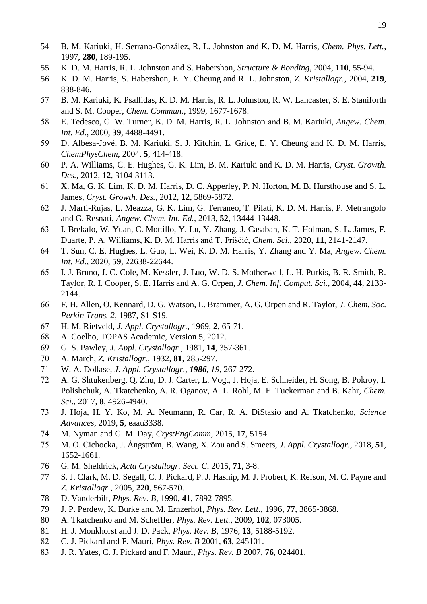- B. M. Kariuki, H. Serrano-González, R. L. Johnston and K. D. M. Harris, *Chem. Phys. Lett.*, 1997, **280**, 189-195.
- K. D. M. Harris, R. L. Johnston and S. Habershon, *Structure & Bonding*, 2004, **110**, 55-94.
- K. D. M. Harris, S. Habershon, E. Y. Cheung and R. L. Johnston, *Z. Kristallogr.*, 2004, **219**, 838-846.
- B. M. Kariuki, K. Psallidas, K. D. M. Harris, R. L. Johnston, R. W. Lancaster, S. E. Staniforth and S. M. Cooper, *Chem. Commun.*, 1999, 1677-1678.
- E. Tedesco, G. W. Turner, K. D. M. Harris, R. L. Johnston and B. M. Kariuki, *Angew. Chem. Int. Ed.*, 2000, **39**, 4488-4491.
- D. Albesa-Jové, B. M. Kariuki, S. J. Kitchin, L. Grice, E. Y. Cheung and K. D. M. Harris, *ChemPhysChem*, 2004, **5**, 414-418.
- P. A. Williams, C. E. Hughes, G. K. Lim, B. M. Kariuki and K. D. M. Harris, *Cryst. Growth. Des.*, 2012, **12**, 3104-3113.
- X. Ma, G. K. Lim, K. D. M. Harris, D. C. Apperley, P. N. Horton, M. B. Hursthouse and S. L. James, *Cryst. Growth. Des.*, 2012, **12**, 5869-5872.
- J. Martí-Rujas, L. Meazza, G. K. Lim, G. Terraneo, T. Pilati, K. D. M. Harris, P. Metrangolo and G. Resnati, *Angew. Chem. Int. Ed.*, 2013, **52**, 13444-13448.
- I. Brekalo, W. Yuan, C. Mottillo, Y. Lu, Y. Zhang, J. Casaban, K. T. Holman, S. L. James, F. Duarte, P. A. Williams, K. D. M. Harris and T. Friščić, *Chem. Sci.*, 2020, **11**, 2141-2147.
- T. Sun, C. E. Hughes, L. Guo, L. Wei, K. D. M. Harris, Y. Zhang and Y. Ma, *Angew. Chem. Int. Ed.*, 2020, **59**, 22638-22644.
- I. J. Bruno, J. C. Cole, M. Kessler, J. Luo, W. D. S. Motherwell, L. H. Purkis, B. R. Smith, R. Taylor, R. I. Cooper, S. E. Harris and A. G. Orpen, *J. Chem. Inf. Comput. Sci.*, 2004, **44**, 2133- 2144.
- F. H. Allen, O. Kennard, D. G. Watson, L. Brammer, A. G. Orpen and R. Taylor, *J. Chem. Soc. Perkin Trans. 2*, 1987, S1-S19.
- H. M. Rietveld, *J. Appl. Crystallogr.*, 1969, **2**, 65-71.
- A. Coelho, TOPAS Academic, Version 5, 2012.
- G. S. Pawley, *J. Appl. Crystallogr.*, 1981, **14**, 357-361.
- A. March, *Z. Kristallogr.*, 1932, **81**, 285-297.
- W. A. Dollase, *J. Appl. Crystallogr.*, *1986*, *19*, 267-272.
- A. G. Shtukenberg, Q. Zhu, D. J. Carter, L. Vogt, J. Hoja, E. Schneider, H. Song, B. Pokroy, I. Polishchuk, A. Tkatchenko, A. R. Oganov, A. L. Rohl, M. E. Tuckerman and B. Kahr, *Chem. Sci.*, 2017, **8**, 4926-4940.
- J. Hoja, H. Y. Ko, M. A. Neumann, R. Car, R. A. DiStasio and A. Tkatchenko, *Science Advances*, 2019, **5**, eaau3338.
- M. Nyman and G. M. Day, *CrystEngComm*, 2015, **17**, 5154.
- M. O. Cichocka, J. Ångström, B. Wang, X. Zou and S. Smeets, *J. Appl. Crystallogr.*, 2018, **51**, 1652-1661.
- G. M. Sheldrick, *Acta Crystallogr. Sect. C*, 2015, **71**, 3-8.
- S. J. Clark, M. D. Segall, C. J. Pickard, P. J. Hasnip, M. J. Probert, K. Refson, M. C. Payne and *Z. Kristallogr.*, 2005, **220**, 567-570.
- D. Vanderbilt, *Phys. Rev. B*, 1990, **41**, 7892-7895.
- J. P. Perdew, K. Burke and M. Ernzerhof, *Phys. Rev. Lett.*, 1996, **77**, 3865-3868.
- A. Tkatchenko and M. Scheffler, *Phys. Rev. Lett.*, 2009, **102**, 073005.
- H. J. Monkhorst and J. D. Pack, *Phys. Rev. B*, 1976, **13**, 5188-5192.
- C. J. Pickard and F. Mauri, *Phys. Rev. B* 2001, **63**, 245101.
- J. R. Yates, C. J. Pickard and F. Mauri, *Phys. Rev. B* 2007, **76**, 024401.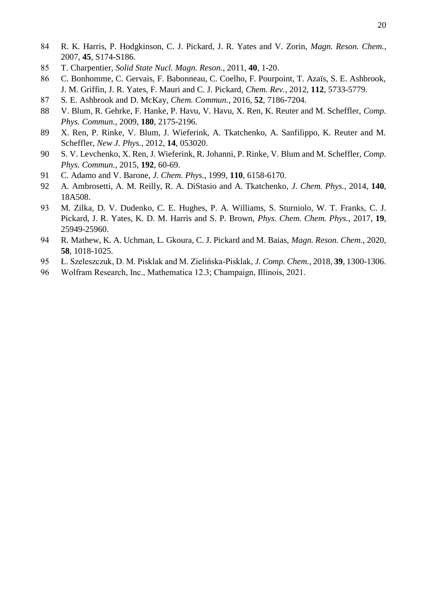- R. K. Harris, P. Hodgkinson, C. J. Pickard, J. R. Yates and V. Zorin, *Magn. Reson. Chem.*, 2007, **45**, S174-S186.
- T. Charpentier, *Solid State Nucl. Magn. Reson.*, 2011, **40**, 1-20.
- C. Bonhomme, C. Gervais, F. Babonneau, C. Coelho, F. Pourpoint, T. Azaïs, S. E. Ashbrook, J. M. Griffin, J. R. Yates, F. Mauri and C. J. Pickard, *Chem. Rev.*, 2012, **112**, 5733-5779.
- S. E. Ashbrook and D. McKay, *Chem. Commun.*, 2016, **52**, 7186-7204.
- V. Blum, R. Gehrke, F. Hanke, P. Havu, V. Havu, X. Ren, K. Reuter and M. Scheffler, *Comp. Phys. Commun.*, 2009, **180**, 2175-2196.
- X. Ren, P. Rinke, V. Blum, J. Wieferink, A. Tkatchenko, A. Sanfilippo, K. Reuter and M. Scheffler, *New J. Phys.*, 2012, **14**, 053020.
- S. V. Levchenko, X. Ren, J. Wieferink, R. Johanni, P. Rinke, V. Blum and M. Scheffler, *Comp. Phys. Commun.*, 2015, **192**, 60-69.
- C. Adamo and V. Barone, *J. Chem. Phys.*, 1999, **110**, 6158-6170.
- A. Ambrosetti, A. M. Reilly, R. A. DiStasio and A. Tkatchenko, *J. Chem. Phys.*, 2014, **140**, 18A508.
- M. Zilka, D. V. Dudenko, C. E. Hughes, P. A. Williams, S. Sturniolo, W. T. Franks, C. J. Pickard, J. R. Yates, K. D. M. Harris and S. P. Brown, *Phys. Chem. Chem. Phys.*, 2017, **19**, 25949-25960.
- R. Mathew, K. A. Uchman, L. Gkoura, C. J. Pickard and M. Baias, *Magn. Reson. Chem.*, 2020, , 1018-1025.
- Ł. Szeleszczuk, D. M. Pisklak and M. Zielińska‐Pisklak, *J. Comp. Chem.*, 2018, **39**, 1300-1306.
- Wolfram Research, Inc., Mathematica 12.3; Champaign, Illinois, 2021.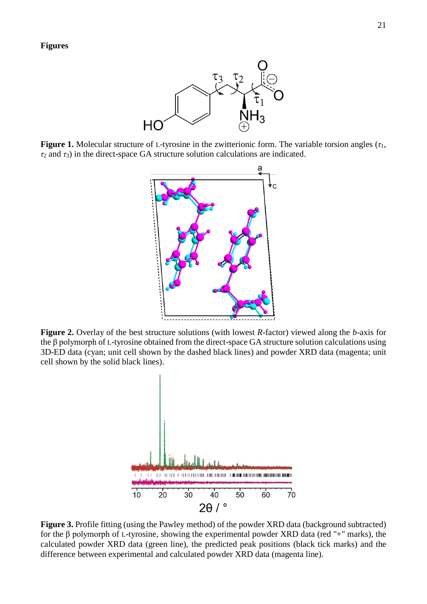

**Figure 1.** Molecular structure of L-tyrosine in the zwitterionic form. The variable torsion angles (*τ*1, *τ*<sup>2</sup> and *τ*3) in the direct-space GA structure solution calculations are indicated.



**Figure 2.** Overlay of the best structure solutions (with lowest *R*-factor) viewed along the *b*-axis for the β polymorph of L-tyrosine obtained from the direct-space GA structure solution calculations using 3D-ED data (cyan; unit cell shown by the dashed black lines) and powder XRD data (magenta; unit cell shown by the solid black lines).



**Figure 3.** Profile fitting (using the Pawley method) of the powder XRD data (background subtracted) for the β polymorph of L-tyrosine, showing the experimental powder XRD data (red "+" marks), the calculated powder XRD data (green line), the predicted peak positions (black tick marks) and the difference between experimental and calculated powder XRD data (magenta line).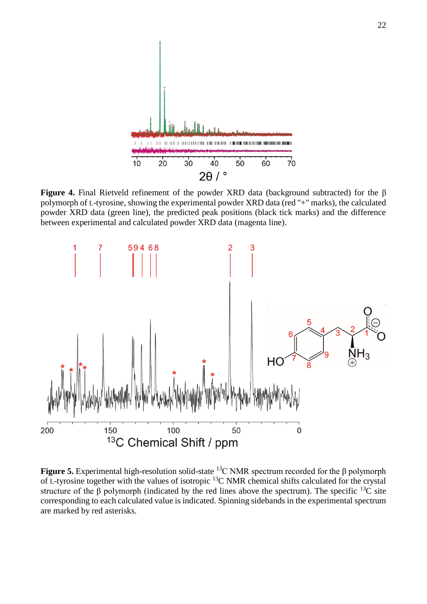

**Figure 4.** Final Rietveld refinement of the powder XRD data (background subtracted) for the β polymorph of L-tyrosine, showing the experimental powder XRD data (red "+" marks), the calculated powder XRD data (green line), the predicted peak positions (black tick marks) and the difference between experimental and calculated powder XRD data (magenta line).



**Figure 5.** Experimental high-resolution solid-state <sup>13</sup>C NMR spectrum recorded for the β polymorph of L-tyrosine together with the values of isotropic <sup>13</sup>C NMR chemical shifts calculated for the crystal structure of the  $\beta$  polymorph (indicated by the red lines above the spectrum). The specific <sup>13</sup>C site corresponding to each calculated value is indicated. Spinning sidebands in the experimental spectrum are marked by red asterisks.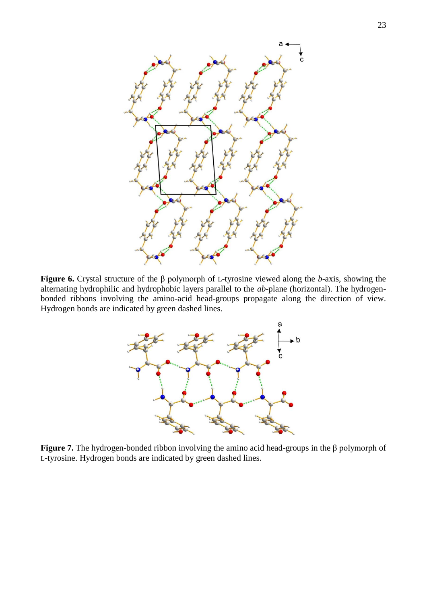

**Figure 6.** Crystal structure of the β polymorph of L-tyrosine viewed along the *b*-axis, showing the alternating hydrophilic and hydrophobic layers parallel to the *ab*-plane (horizontal). The hydrogenbonded ribbons involving the amino-acid head-groups propagate along the direction of view. Hydrogen bonds are indicated by green dashed lines.



**Figure 7.** The hydrogen-bonded ribbon involving the amino acid head-groups in the β polymorph of L-tyrosine. Hydrogen bonds are indicated by green dashed lines.